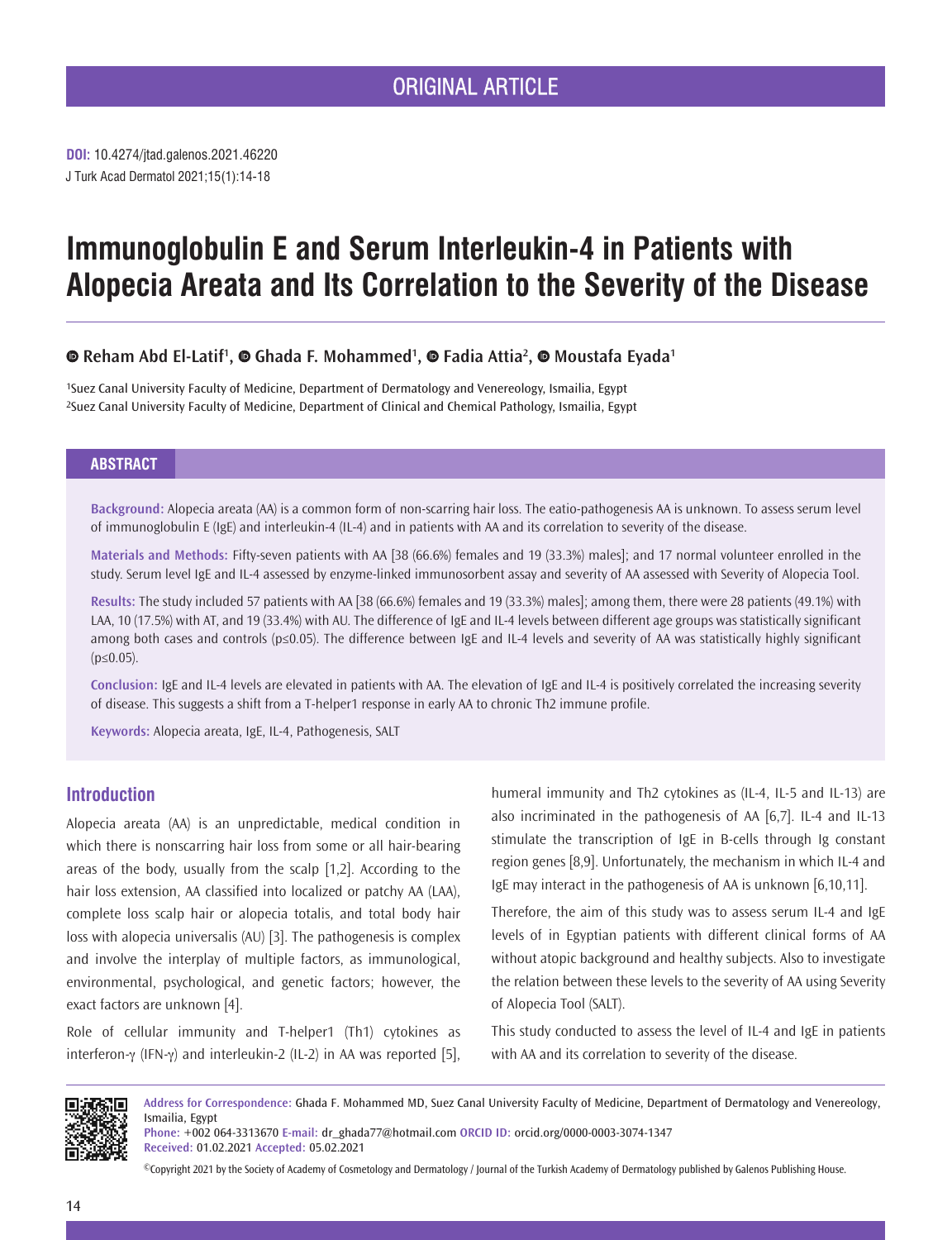**DOI:** 10.4274/jtad.galenos.2021.46220 J Turk Acad Dermatol 2021;15(1):14-18

# **Immunoglobulin E and Serum Interleukin-4 in Patients with Alopecia Areata and Its Correlation to [th](https://orcid.org/)e Severity of the Disease**

## **RehamAbd El-Latif<sup>1</sup>, © Ghada F. [M](https://orcid.org/)ohammed<sup>1</sup>, © Fadia Attia<sup>2</sup>, © Moustafa Eyada<sup>1</sup>**

1Suez Canal University Faculty of Medicine, Department of Dermatology and Venereology, Ismailia, Egypt 2Suez Canal University Faculty of Medicine, Department of Clinical and Chemical Pathology, Ismailia, Egypt

#### **ABSTRACT**

**Background:** Alopecia areata (AA) is a common form of non-scarring hair loss. The eatio-pathogenesis AA is unknown. To assess serum level of immunoglobulin E (IgE) and interleukin-4 (IL-4) and in patients with AA and its correlation to severity of the disease.

**Materials and Methods:** Fifty-seven patients with AA [38 (66.6%) females and 19 (33.3%) males]; and 17 normal volunteer enrolled in the study. Serum level IgE and IL-4 assessed by enzyme-linked immunosorbent assay and severity of AA assessed with Severity of Alopecia Tool.

**Results:** The study included 57 patients with AA [38 (66.6%) females and 19 (33.3%) males]; among them, there were 28 patients (49.1%) with LAA, 10 (17.5%) with AT, and 19 (33.4%) with AU. The difference of IgE and IL-4 levels between different age groups was statistically significant among both cases and controls (p≤0.05). The difference between IgE and IL-4 levels and severity of AA was statistically highly significant (p≤0.05).

**Conclusion:** IgE and IL-4 levels are elevated in patients with AA. The elevation of IgE and IL-4 is positively correlated the increasing severity of disease. This suggests a shift from a T-helper1 response in early AA to chronic Th2 immune profile.

**Keywords:** Alopecia areata, IgE, IL-4, Pathogenesis, SALT

## **Introduction**

Alopecia areata (AA) is an unpredictable, medical condition in which there is nonscarring hair loss from some or all hair-bearing areas of the body, usually from the scalp [1,2]. According to the hair loss extension, AA classified into localized or patchy AA (LAA), complete loss scalp hair or alopecia totalis, and total body hair loss with alopecia universalis (AU) [3]. The pathogenesis is complex and involve the interplay of multiple factors, as immunological, environmental, psychological, and genetic factors; however, the exact factors are unknown [4].

Role of cellular immunity and T-helper1 (Th1) cytokines as interferon-γ (IFN-γ) and interleukin-2 (IL-2) in AA was reported [5], humeral immunity and Th2 cytokines as (IL-4, IL-5 and IL-13) are also incriminated in the pathogenesis of AA [6,7]. IL-4 and IL-13 stimulate the transcription of IgE in B-cells through Ig constant region genes [8,9]. Unfortunately, the mechanism in which IL-4 and IgE may interact in the pathogenesis of AA is unknown [6,10,11].

Therefore, the aim of this study was to assess serum IL-4 and IgE levels of in Egyptian patients with different clinical forms of AA without atopic background and healthy subjects. Also to investigate the relation between these levels to the severity of AA using Severity of Alopecia Tool (SALT).

This study conducted to assess the level of IL-4 and IgE in patients with AA and its correlation to severity of the disease.



**Address for Correspondence:** Ghada F. Mohammed MD, Suez Canal University Faculty of Medicine, Department of Dermatology and Venereology, Ismailia, Egypt

**Phone:** +002 064-3313670 **E-mail:** dr\_ghada77@hotmail.com **ORCID ID:** orcid.org/0000-0003-3074-1347 **Received:** 01.02.2021 **Accepted:** 05.02.2021

©Copyright 2021 by the Society of Academy of Cosmetology and Dermatology / Journal of the Turkish Academy of Dermatology published by Galenos Publishing House.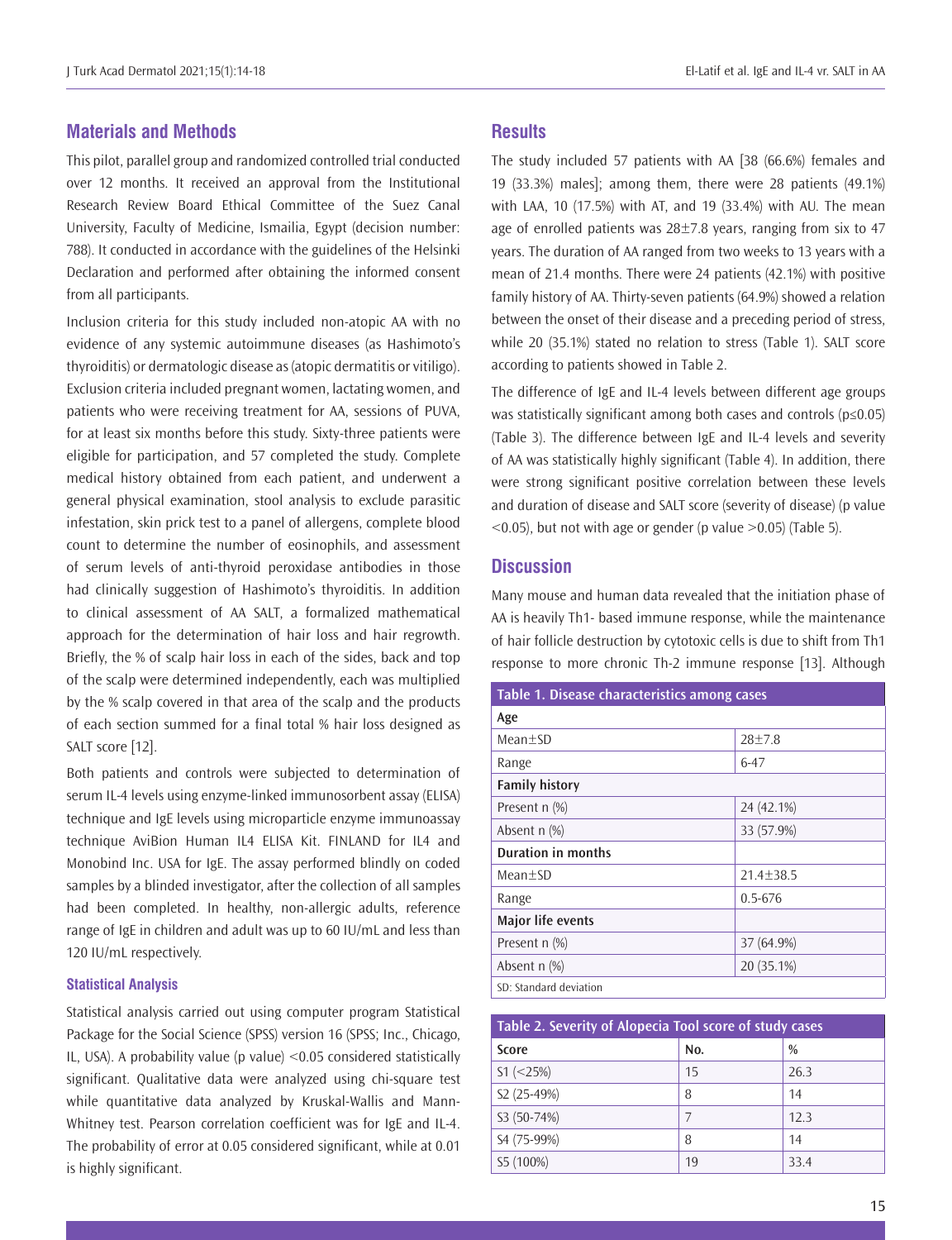### **Materials and Methods**

This pilot, parallel group and randomized controlled trial conducted over 12 months. It received an approval from the Institutional Research Review Board Ethical Committee of the Suez Canal University, Faculty of Medicine, Ismailia, Egypt (decision number: 788). It conducted in accordance with the guidelines of the Helsinki Declaration and performed after obtaining the informed consent from all participants.

Inclusion criteria for this study included non-atopic AA with no evidence of any systemic autoimmune diseases (as Hashimoto's thyroiditis) or dermatologic disease as (atopic dermatitis or vitiligo). Exclusion criteria included pregnant women, lactating women, and patients who were receiving treatment for AA, sessions of PUVA, for at least six months before this study. Sixty-three patients were eligible for participation, and 57 completed the study. Complete medical history obtained from each patient, and underwent a general physical examination, stool analysis to exclude parasitic infestation, skin prick test to a panel of allergens, complete blood count to determine the number of eosinophils, and assessment of serum levels of anti-thyroid peroxidase antibodies in those had clinically suggestion of Hashimoto's thyroiditis. In addition to clinical assessment of AA SALT, a formalized mathematical approach for the determination of hair loss and hair regrowth. Briefly, the % of scalp hair loss in each of the sides, back and top of the scalp were determined independently, each was multiplied by the % scalp covered in that area of the scalp and the products of each section summed for a final total % hair loss designed as SALT score [12].

Both patients and controls were subjected to determination of serum IL-4 levels using enzyme-linked immunosorbent assay (ELISA) technique and IgE levels using microparticle enzyme immunoassay technique AviBion Human IL4 ELISA Kit. FINLAND for IL4 and Monobind Inc. USA for IgE. The assay performed blindly on coded samples by a blinded investigator, after the collection of all samples had been completed. In healthy, non-allergic adults, reference range of IgE in children and adult was up to 60 IU/mL and less than 120 IU/mL respectively.

#### **Statistical Analysis**

Statistical analysis carried out using computer program Statistical Package for the Social Science (SPSS) version 16 (SPSS; Inc., Chicago, IL, USA). A probability value (p value)  $< 0.05$  considered statistically significant. Qualitative data were analyzed using chi-square test while quantitative data analyzed by Kruskal-Wallis and Mann-Whitney test. Pearson correlation coefficient was for IgE and IL-4. The probability of error at 0.05 considered significant, while at 0.01 is highly significant.

#### **Results**

The study included 57 patients with AA [38 (66.6%) females and 19 (33.3%) males]; among them, there were 28 patients (49.1%) with LAA, 10 (17.5%) with AT, and 19 (33.4%) with AU. The mean age of enrolled patients was  $28\pm7.8$  years, ranging from six to 47 years. The duration of AA ranged from two weeks to 13 years with a mean of 21.4 months. There were 24 patients (42.1%) with positive family history of AA. Thirty-seven patients (64.9%) showed a relation between the onset of their disease and a preceding period of stress, while 20 (35.1%) stated no relation to stress (Table 1). SALT score according to patients showed in Table 2.

The difference of IgE and IL-4 levels between different age groups was statistically significant among both cases and controls (p≤0.05) (Table 3). The difference between IgE and IL-4 levels and severity of AA was statistically highly significant (Table 4). In addition, there were strong significant positive correlation between these levels and duration of disease and SALT score (severity of disease) (p value  $\leq$  0.05), but not with age or gender (p value  $\geq$  0.05) (Table 5).

#### **Discussion**

Many mouse and human data revealed that the initiation phase of AA is heavily Th1- based immune response, while the maintenance of hair follicle destruction by cytotoxic cells is due to shift from Th1 response to more chronic Th-2 immune response [13]. Although

| Table 1. Disease characteristics among cases |               |  |  |  |
|----------------------------------------------|---------------|--|--|--|
| Age                                          |               |  |  |  |
| $Mean+SD$                                    | $28+7.8$      |  |  |  |
| Range                                        | $6 - 47$      |  |  |  |
| <b>Family history</b>                        |               |  |  |  |
| Present n (%)                                | 24 (42.1%)    |  |  |  |
| Absent n (%)                                 | 33 (57.9%)    |  |  |  |
| <b>Duration in months</b>                    |               |  |  |  |
| $Mean+SD$                                    | $21.4 + 38.5$ |  |  |  |
| Range                                        | $0.5 - 676$   |  |  |  |
| Major life events                            |               |  |  |  |
| Present n (%)                                | 37 (64.9%)    |  |  |  |
| Absent n (%)                                 | 20 (35.1%)    |  |  |  |
| SD: Standard deviation                       |               |  |  |  |

| Table 2. Severity of Alopecia Tool score of study cases |     |               |  |
|---------------------------------------------------------|-----|---------------|--|
| Score                                                   | No. | $\frac{0}{0}$ |  |
| $S1$ (<25%)                                             | 15  | 26.3          |  |
| S2 (25-49%)                                             | 8   | 14            |  |
| S3 (50-74%)                                             |     | 12.3          |  |
| S4 (75-99%)                                             | 8   | 14            |  |
| S5 (100%)                                               | 19  | 33.4          |  |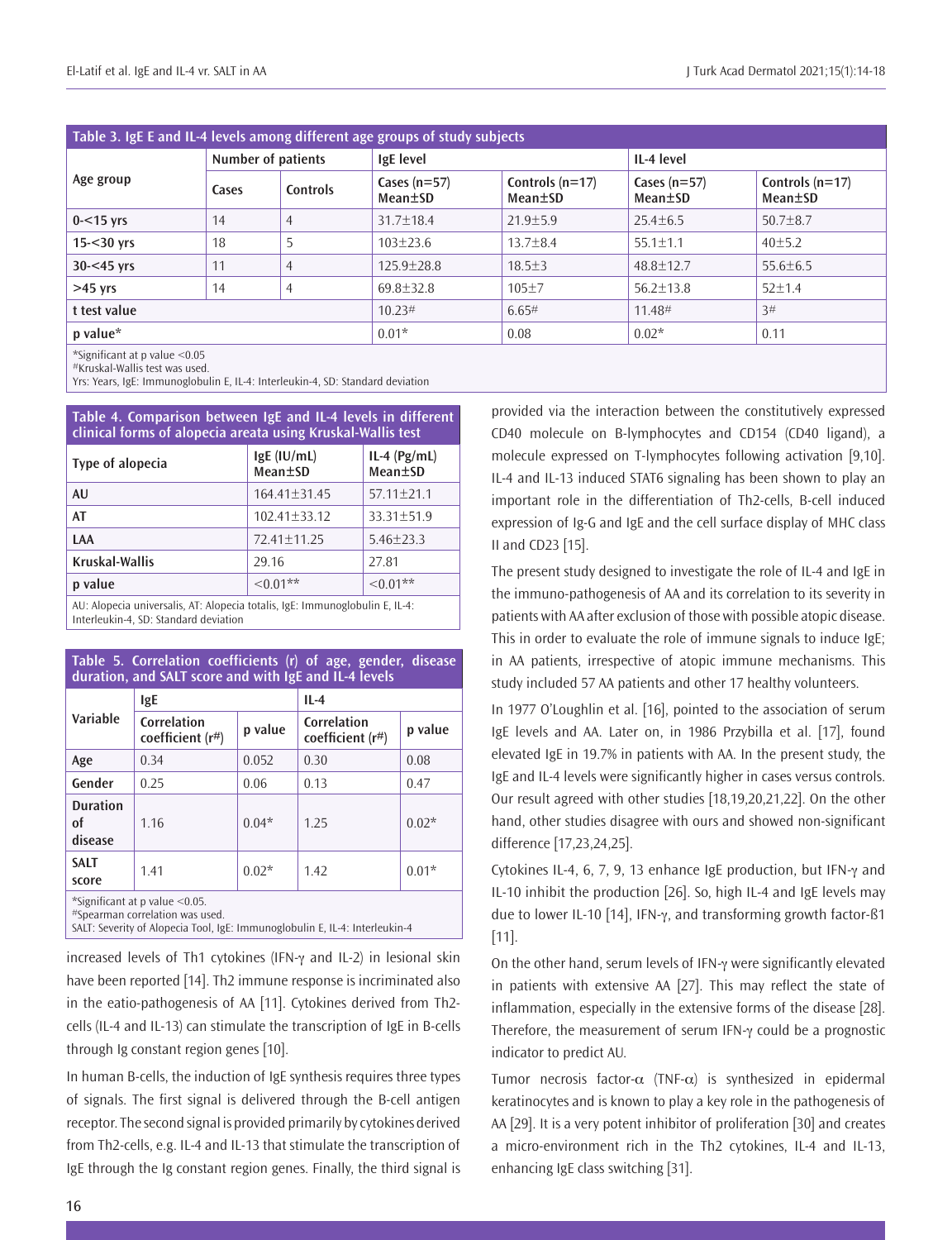| Table 3. IgE E and IL-4 levels among different age groups of study subjects |                    |                |                           |                              |                           |                              |
|-----------------------------------------------------------------------------|--------------------|----------------|---------------------------|------------------------------|---------------------------|------------------------------|
| Age group                                                                   | Number of patients |                | IgE level                 |                              | IL-4 level                |                              |
|                                                                             | Cases              | Controls       | Cases $(n=57)$<br>Mean±SD | Controls $(n=17)$<br>Mean±SD | Cases $(n=57)$<br>Mean±SD | Controls $(n=17)$<br>Mean±SD |
| $0 - 15$ yrs                                                                | 14                 | $\overline{4}$ | $31.7 + 18.4$             | $21.9 \pm 5.9$               | $25.4 \pm 6.5$            | $50.7 \pm 8.7$               |
| $15 - 30$ yrs                                                               | 18                 | 5              | $103 \pm 23.6$            | $13.7 \pm 8.4$               | $55.1 \pm 1.1$            | 40±5.2                       |
| $30 - 45$ yrs                                                               | 11                 | $\overline{4}$ | $125.9 + 28.8$            | $18.5 \pm 3$                 | $48.8 \pm 12.7$           | $55.6 \pm 6.5$               |
| $>45$ yrs                                                                   | 14                 | $\overline{4}$ | $69.8 \pm 32.8$           | $105 + 7$                    | $56.2 \pm 13.8$           | $52+1.4$                     |
| t test value                                                                |                    | 10.23#         | 6.65#                     | $11.48^{\#}$                 | 3#                        |                              |
| $p$ value $*$                                                               |                    | $0.01*$        | 0.08                      | $0.02*$                      | 0.11                      |                              |
| *Significant at p value $< 0.05$                                            |                    |                |                           |                              |                           |                              |

#Kruskal-Wallis test was used.

Yrs: Years, IgE: Immunoglobulin E, IL-4: Interleukin-4, SD: Standard deviation

| Table 4. Comparison between IgE and IL-4 levels in different<br>clinical forms of alopecia areata using Kruskal-Wallis test |                          |                           |  |  |
|-----------------------------------------------------------------------------------------------------------------------------|--------------------------|---------------------------|--|--|
| Type of alopecia                                                                                                            | $lgE$ (IU/mL)<br>Mean+SD | $IL-4$ (Pg/mL)<br>Mean±SD |  |  |
| <b>AU</b>                                                                                                                   | $164.41 \pm 31.45$       | $57.11 + 21.1$            |  |  |
| AT                                                                                                                          | $102.41 \pm 33.12$       | $33.31 + 51.9$            |  |  |
| LAA                                                                                                                         | 72.41±11.25              | $5.46 + 23.3$             |  |  |
| Kruskal-Wallis                                                                                                              | 29.16                    | 27.81                     |  |  |
| p value                                                                                                                     | $<0.01**$                | $<0.01**$                 |  |  |
| AU: Alopecia universalis, AT: Alopecia totalis, IgE: Immunoglobulin E, IL-4:                                                |                          |                           |  |  |

Interleukin-4, SD: Standard deviation

| Table 5. Correlation coefficients (r) of age, gender, disease<br>duration, and SALT score and with IgE and IL-4 levels |                                 |         |                                 |         |  |
|------------------------------------------------------------------------------------------------------------------------|---------------------------------|---------|---------------------------------|---------|--|
| Variable                                                                                                               | <b>IgE</b>                      |         | $IL-4$                          |         |  |
|                                                                                                                        | Correlation<br>coefficient (r#) | p value | Correlation<br>coefficient (r#) | p value |  |
| Age                                                                                                                    | 0.34                            | 0.052   | 0.30                            | 0.08    |  |
| Gender                                                                                                                 | 0.25                            | 0.06    | 0.13                            | 0.47    |  |
| <b>Duration</b><br>0f<br>disease                                                                                       | 1.16                            | $0.04*$ | 1.25                            | $0.02*$ |  |
| <b>SALT</b><br>score                                                                                                   | 1.41                            | $0.02*$ | 1.42                            | $0.01*$ |  |
| *Significant at p value <0.05.                                                                                         |                                 |         |                                 |         |  |

#Spearman correlation was used.

SALT: Severity of Alopecia Tool, IgE: Immunoglobulin E, IL-4: Interleukin-4

increased levels of Th1 cytokines (IFN-γ and IL-2) in lesional skin have been reported [14]. Th2 immune response is incriminated also in the eatio-pathogenesis of AA [11]. Cytokines derived from Th2 cells (IL-4 and IL-13) can stimulate the transcription of IgE in B-cells through Ig constant region genes [10].

In human B-cells, the induction of IgE synthesis requires three types of signals. The first signal is delivered through the B-cell antigen receptor. The second signal is provided primarily by cytokines derived from Th2-cells, e.g. IL-4 and IL-13 that stimulate the transcription of IgE through the Ig constant region genes. Finally, the third signal is

provided via the interaction between the constitutively expressed CD40 molecule on B-lymphocytes and CD154 (CD40 ligand), a molecule expressed on T-lymphocytes following activation [9,10]. IL-4 and IL-13 induced STAT6 signaling has been shown to play an important role in the differentiation of Th2-cells, B-cell induced expression of Ig-G and IgE and the cell surface display of MHC class II and CD23 [15].

The present study designed to investigate the role of IL-4 and IgE in the immuno-pathogenesis of AA and its correlation to its severity in patients with AA after exclusion of those with possible atopic disease. This in order to evaluate the role of immune signals to induce IgE; in AA patients, irrespective of atopic immune mechanisms. This study included 57 AA patients and other 17 healthy volunteers.

In 1977 O'Loughlin et al. [16], pointed to the association of serum IgE levels and AA. Later on, in 1986 Przybilla et al. [17], found elevated IgE in 19.7% in patients with AA. In the present study, the IgE and IL-4 levels were significantly higher in cases versus controls. Our result agreed with other studies [18,19,20,21,22]. On the other hand, other studies disagree with ours and showed non-significant difference [17,23,24,25].

Cytokines IL-4, 6, 7, 9, 13 enhance IgE production, but IFN-γ and IL-10 inhibit the production [26]. So, high IL-4 and IgE levels may due to lower IL-10 [14], IFN-γ, and transforming growth factor-ß1 [11].

On the other hand, serum levels of IFN-γ were significantly elevated in patients with extensive AA [27]. This may reflect the state of inflammation, especially in the extensive forms of the disease [28]. Therefore, the measurement of serum IFN-γ could be a prognostic indicator to predict AU.

Tumor necrosis factor- $\alpha$  (TNF- $\alpha$ ) is synthesized in epidermal keratinocytes and is known to play a key role in the pathogenesis of AA [29]. It is a very potent inhibitor of proliferation [30] and creates a micro-environment rich in the Th2 cytokines, IL-4 and IL-13, enhancing IgE class switching [31].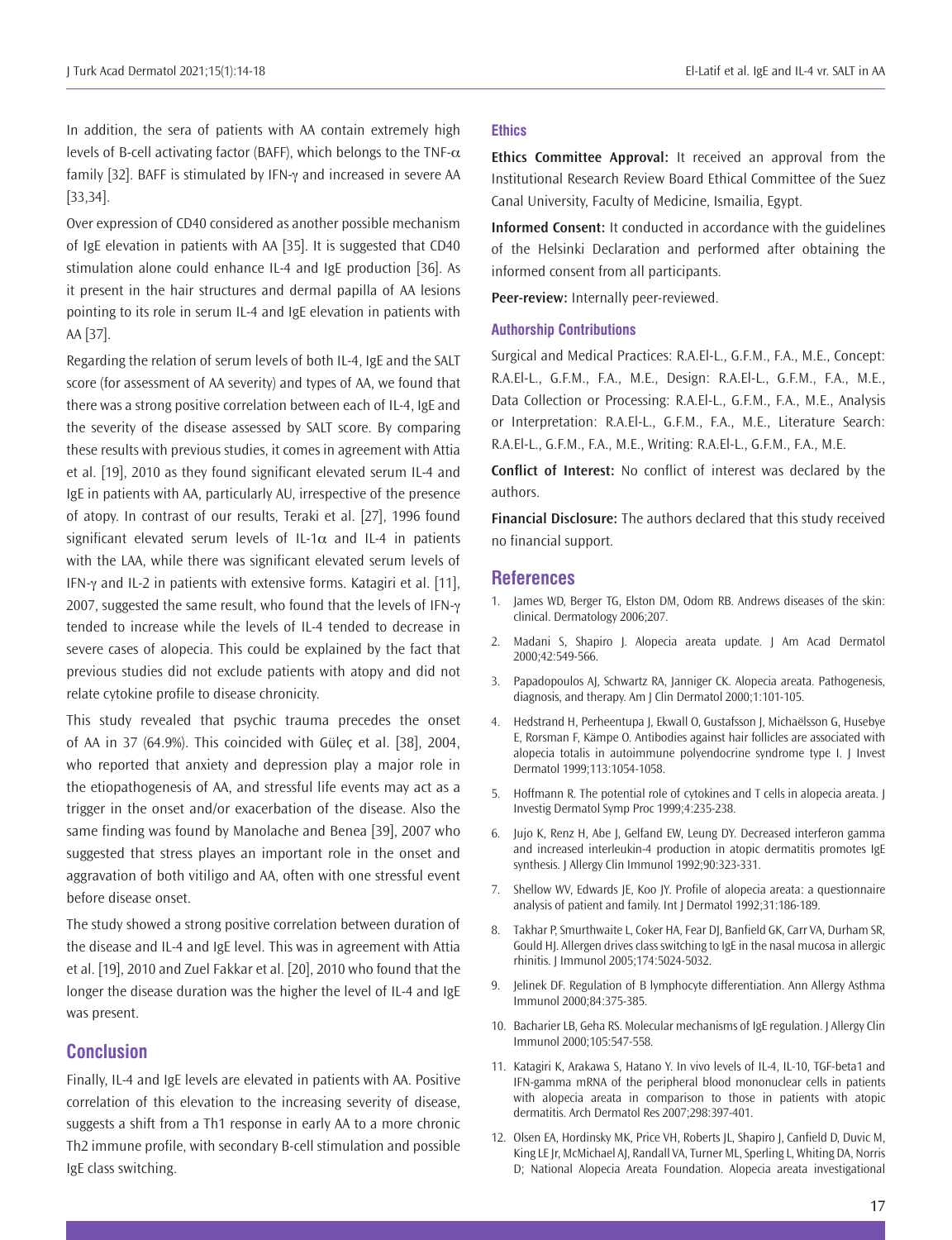In addition, the sera of patients with AA contain extremely high levels of B-cell activating factor (BAFF), which belongs to the TNF- $\alpha$ family [32]. BAFF is stimulated by IFN-γ and increased in severe AA [33,34].

Over expression of CD40 considered as another possible mechanism of IgE elevation in patients with AA [35]. It is suggested that CD40 stimulation alone could enhance IL-4 and IgE production [36]. As it present in the hair structures and dermal papilla of AA lesions pointing to its role in serum IL-4 and IgE elevation in patients with AA [37].

Regarding the relation of serum levels of both IL-4, IgE and the SALT score (for assessment of AA severity) and types of AA, we found that there was a strong positive correlation between each of IL-4, IgE and the severity of the disease assessed by SALT score. By comparing these results with previous studies, it comes in agreement with Attia et al. [19], 2010 as they found significant elevated serum IL-4 and IgE in patients with AA, particularly AU, irrespective of the presence of atopy. In contrast of our results, Teraki et al. [27], 1996 found significant elevated serum levels of IL-1 $\alpha$  and IL-4 in patients with the LAA, while there was significant elevated serum levels of IFN-γ and IL-2 in patients with extensive forms. Katagiri et al. [11], 2007, suggested the same result, who found that the levels of IFN-γ tended to increase while the levels of IL-4 tended to decrease in severe cases of alopecia. This could be explained by the fact that previous studies did not exclude patients with atopy and did not relate cytokine profile to disease chronicity.

This study revealed that psychic trauma precedes the onset of AA in 37 (64.9%). This coincided with Güleç et al. [38], 2004, who reported that anxiety and depression play a major role in the etiopathogenesis of AA, and stressful life events may act as a trigger in the onset and/or exacerbation of the disease. Also the same finding was found by Manolache and Benea [39], 2007 who suggested that stress playes an important role in the onset and aggravation of both vitiligo and AA, often with one stressful event before disease onset.

The study showed a strong positive correlation between duration of the disease and IL-4 and IgE level. This was in agreement with Attia et al. [19], 2010 and Zuel Fakkar et al. [20], 2010 who found that the longer the disease duration was the higher the level of IL-4 and IgE was present.

#### **Conclusion**

Finally, IL-4 and IgE levels are elevated in patients with AA. Positive correlation of this elevation to the increasing severity of disease, suggests a shift from a Th1 response in early AA to a more chronic Th2 immune profile, with secondary B-cell stimulation and possible IgE class switching.

#### **Ethics**

**Ethics Committee Approval:** It received an approval from the Institutional Research Review Board Ethical Committee of the Suez Canal University, Faculty of Medicine, Ismailia, Egypt.

**Informed Consent:** It conducted in accordance with the guidelines of the Helsinki Declaration and performed after obtaining the informed consent from all participants.

**Peer-review:** Internally peer-reviewed.

#### **Authorship Contributions**

Surgical and Medical Practices: R.A.El-L., G.F.M., F.A., M.E., Concept: R.A.El-L., G.F.M., F.A., M.E., Design: R.A.El-L., G.F.M., F.A., M.E., Data Collection or Processing: R.A.El-L., G.F.M., F.A., M.E., Analysis or Interpretation: R.A.El-L., G.F.M., F.A., M.E., Literature Search: R.A.El-L., G.F.M., F.A., M.E., Writing: R.A.El-L., G.F.M., F.A., M.E.

**Conflict of Interest:** No conflict of interest was declared by the authors.

**Financial Disclosure:** The authors declared that this study received no financial support.

#### **References**

- 1. James WD, Berger TG, Elston DM, Odom RB. Andrews diseases of the skin: clinical. Dermatology 2006;207.
- 2. Madani S, Shapiro J. Alopecia areata update. J Am Acad Dermatol 2000;42:549-566.
- 3. Papadopoulos AJ, Schwartz RA, Janniger CK. Alopecia areata. Pathogenesis, diagnosis, and therapy. Am J Clin Dermatol 2000;1:101-105.
- 4. Hedstrand H, Perheentupa J, Ekwall O, Gustafsson J, Michaëlsson G, Husebye E, Rorsman F, Kämpe O. Antibodies against hair follicles are associated with alopecia totalis in autoimmune polyendocrine syndrome type I. J Invest Dermatol 1999;113:1054-1058.
- 5. Hoffmann R. The potential role of cytokines and T cells in alopecia areata. J Investig Dermatol Symp Proc 1999;4:235-238.
- 6. Jujo K, Renz H, Abe J, Gelfand EW, Leung DY. Decreased interferon gamma and increased interleukin-4 production in atopic dermatitis promotes IgE synthesis. J Allergy Clin Immunol 1992;90:323-331.
- 7. Shellow WV, Edwards JE, Koo JY. Profile of alopecia areata: a questionnaire analysis of patient and family. Int J Dermatol 1992;31:186-189.
- 8. Takhar P, Smurthwaite L, Coker HA, Fear DJ, Banfield GK, Carr VA, Durham SR, Gould HJ. Allergen drives class switching to IgE in the nasal mucosa in allergic rhinitis. J Immunol 2005;174:5024-5032.
- 9. Jelinek DF. Regulation of B lymphocyte differentiation. Ann Allergy Asthma Immunol 2000;84:375-385.
- 10. Bacharier LB, Geha RS. Molecular mechanisms of IgE regulation. J Allergy Clin Immunol 2000;105:547-558.
- 11. Katagiri K, Arakawa S, Hatano Y. In vivo levels of IL-4, IL-10, TGF-beta1 and IFN-gamma mRNA of the peripheral blood mononuclear cells in patients with alopecia areata in comparison to those in patients with atopic dermatitis. Arch Dermatol Res 2007;298:397-401.
- 12. Olsen EA, Hordinsky MK, Price VH, Roberts JL, Shapiro J, Canfield D, Duvic M, King LE Jr, McMichael AJ, Randall VA, Turner ML, Sperling L, Whiting DA, Norris D; National Alopecia Areata Foundation. Alopecia areata investigational